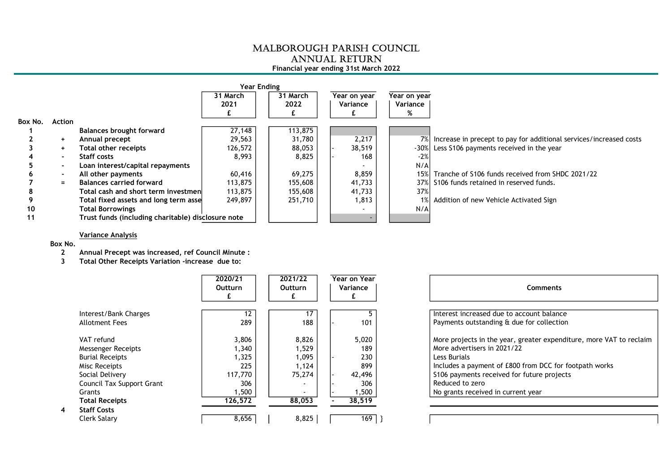## MALBOROUGH PARISH COUNCIL ANNUAL RETURN

## Financial year ending 31st March 2022

|         |                          |                                                    | Year Ending |          |              |              |                                                                        |
|---------|--------------------------|----------------------------------------------------|-------------|----------|--------------|--------------|------------------------------------------------------------------------|
|         |                          |                                                    | 31 March    | 31 March | Year on year | Year on year |                                                                        |
|         |                          |                                                    | 2021        | 2022     | Variance     | Variance     |                                                                        |
|         |                          |                                                    |             |          |              | %            |                                                                        |
| Box No. | Action                   |                                                    |             |          |              |              |                                                                        |
|         |                          | <b>Balances brought forward</b>                    | 27,148      | 113,875  |              |              |                                                                        |
|         | $\ddot{}$                | Annual precept                                     | 29,563      | 31,780   | 2,217        |              | 7%  Increase in precept to pay for additional services/increased costs |
|         | $\ddot{}$                | Total other receipts                               | 126,572     | 88,053   | 38,519       |              | -30% Less S106 payments received in the year                           |
|         | $\overline{\phantom{0}}$ | Staff costs                                        | 8,993       | 8,825    | 168          | $-2%$        |                                                                        |
|         | $\blacksquare$           | Loan interest/capital repayments                   |             |          |              | N/A          |                                                                        |
|         | $\blacksquare$           | All other payments                                 | 60,416      | 69,275   | 8,859        |              | 15% Tranche of S106 funds received from SHDC 2021/22                   |
|         | $=$                      | <b>Balances carried forward</b>                    | 113,875     | 155,608  | 41,733       |              | 37% S106 funds retained in reserved funds.                             |
|         |                          | Total cash and short term investmen                | 113,875     | 155,608  | 41,733       | 37%          |                                                                        |
|         |                          | Total fixed assets and long term asse              | 249,897     | 251,710  | 1,813        |              | 1% Addition of new Vehicle Activated Sign                              |
| 10      |                          | <b>Total Borrowings</b>                            |             |          |              | N/A          |                                                                        |
| 11      |                          | Trust funds (including charitable) disclosure note |             |          |              |              |                                                                        |

## Variance Analysis

## Box No.

 $\overline{4}$ 

- 2 Annual Precept was increased, ref Council Minute :
- 3 Total Other Receipts Variation -increase due to:

|                                                                                                                                                                       | 2020/21<br>Outturn                                                   | 2021/22<br><b>Outturn</b>                             | Year on Year<br>Variance                                      | <b>Comments</b>                                                                                                                                                                                                                                                                      |
|-----------------------------------------------------------------------------------------------------------------------------------------------------------------------|----------------------------------------------------------------------|-------------------------------------------------------|---------------------------------------------------------------|--------------------------------------------------------------------------------------------------------------------------------------------------------------------------------------------------------------------------------------------------------------------------------------|
| Interest/Bank Charges<br><b>Allotment Fees</b>                                                                                                                        | 12<br>289                                                            | 17<br>188                                             | 101                                                           | Interest increased due to account balance<br>Payments outstanding & due for collection                                                                                                                                                                                               |
| VAT refund<br><b>Messenger Receipts</b><br><b>Burial Receipts</b><br>Misc Receipts<br>Social Delivery<br>Council Tax Support Grant<br>Grants<br><b>Total Receipts</b> | 3,806<br>1,340<br>,325<br>225<br>117,770<br>306<br>500, ا<br>126,572 | 8,826<br>529، ا<br>1,095<br>1,124<br>75.274<br>88,053 | 5,020<br>189<br>230<br>899<br>42,496<br>306<br>,500<br>38,519 | More projects in the year, greater expenditure, more VAT to reclaim<br>More advertisers in 2021/22<br>Less Burials<br>Includes a payment of £800 from DCC for footpath works<br>\$106 payments received for future projects<br>Reduced to zero<br>No grants received in current year |
| <b>Staff Costs</b><br>Clerk Salary                                                                                                                                    | 8,656                                                                | 8,825                                                 | 169                                                           |                                                                                                                                                                                                                                                                                      |

| <b>Comments</b>                                                                                                         |
|-------------------------------------------------------------------------------------------------------------------------|
| Interest increased due to account balance<br>Payments outstanding & due for collection                                  |
| More projects in the year, greater expenditure, more VAT to reclaim<br>More advertisers in 2021/22<br>Less Burials      |
| Includes a payment of £800 from DCC for footpath works<br>S106 payments received for future projects<br>Reduced to zero |
| No grants received in current year                                                                                      |